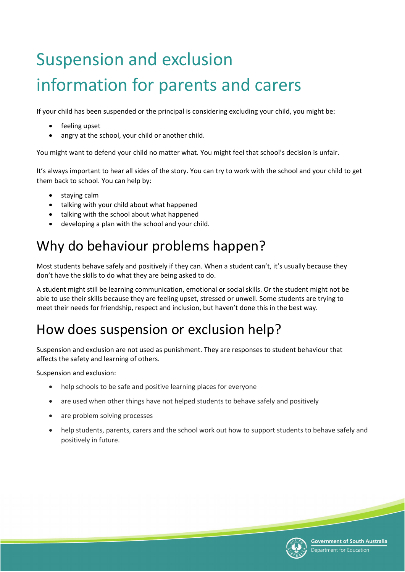# Suspension and exclusion information for parents and carers

If your child has been suspended or the principal is considering excluding your child, you might be:

- feeling upset
- angry at the school, your child or another child.

You might want to defend your child no matter what. You might feel that school's decision is unfair.

It's always important to hear all sides of the story. You can try to work with the school and your child to get them back to school. You can help by:

- staying calm
- talking with your child about what happened
- talking with the school about what happened
- developing a plan with the school and your child.

# Why do behaviour problems happen?

Most students behave safely and positively if they can. When a student can't, it's usually because they don't have the skills to do what they are being asked to do.

A student might still be learning communication, emotional or social skills. Or the student might not be able to use their skills because they are feeling upset, stressed or unwell. Some students are trying to meet their needs for friendship, respect and inclusion, but haven't done this in the best way.

# How does suspension or exclusion help?

Suspension and exclusion are not used as punishment. They are responses to student behaviour that affects the safety and learning of others.

Suspension and exclusion:

- help schools to be safe and positive learning places for everyone
- are used when other things have not helped students to behave safely and positively
- are problem solving processes
- help students, parents, carers and the school work out how to support students to behave safely and positively in future.

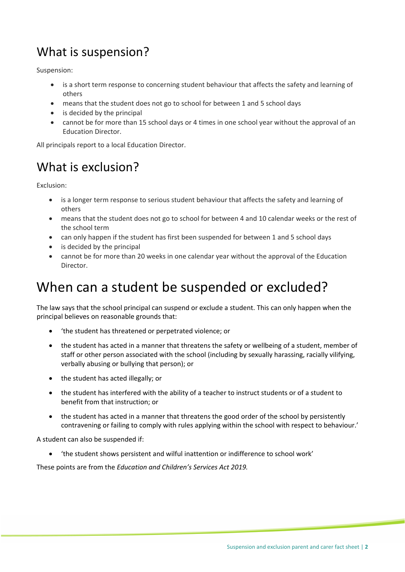# What is suspension?

Suspension:

- is a short term response to concerning student behaviour that affects the safety and learning of others
- means that the student does not go to school for between 1 and 5 school days
- is decided by the principal
- cannot be for more than 15 school days or 4 times in one school year without the approval of an Education Director.

All principals report to a local Education Director.

# What is exclusion?

Exclusion:

- is a longer term response to serious student behaviour that affects the safety and learning of others
- means that the student does not go to school for between 4 and 10 calendar weeks or the rest of the school term
- can only happen if the student has first been suspended for between 1 and 5 school days
- is decided by the principal
- cannot be for more than 20 weeks in one calendar year without the approval of the Education Director.

# When can a student be suspended or excluded?

The law says that the school principal can suspend or exclude a student. This can only happen when the principal believes on reasonable grounds that:

- 'the student has threatened or perpetrated violence; or
- the student has acted in a manner that threatens the safety or wellbeing of a student, member of staff or other person associated with the school (including by sexually harassing, racially vilifying, verbally abusing or bullying that person); or
- the student has acted illegally; or
- the student has interfered with the ability of a teacher to instruct students or of a student to benefit from that instruction; or
- the student has acted in a manner that threatens the good order of the school by persistently contravening or failing to comply with rules applying within the school with respect to behaviour.'

A student can also be suspended if:

• 'the student shows persistent and wilful inattention or indifference to school work'

These points are from the *Education and Children's Services Act 2019.*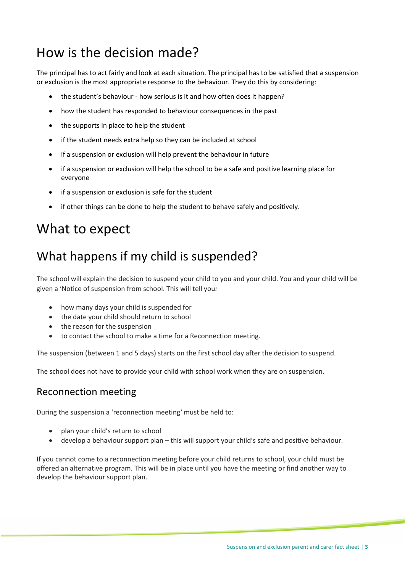# How is the decision made?

The principal has to act fairly and look at each situation. The principal has to be satisfied that a suspension or exclusion is the most appropriate response to the behaviour. They do this by considering:

- the student's behaviour how serious is it and how often does it happen?
- how the student has responded to behaviour consequences in the past
- the supports in place to help the student
- if the student needs extra help so they can be included at school
- if a suspension or exclusion will help prevent the behaviour in future
- if a suspension or exclusion will help the school to be a safe and positive learning place for everyone
- if a suspension or exclusion is safe for the student
- if other things can be done to help the student to behave safely and positively.

### What to expect

### What happens if my child is suspended?

The school will explain the decision to suspend your child to you and your child. You and your child will be given a 'Notice of suspension from school. This will tell you*:* 

- how many days your child is suspended for
- the date your child should return to school
- the reason for the suspension
- to contact the school to make a time for a Reconnection meeting.

The suspension (between 1 and 5 days) starts on the first school day after the decision to suspend.

The school does not have to provide your child with school work when they are on suspension.

#### Reconnection meeting

During the suspension a 'reconnection meeting*'* must be held to:

- plan your child's return to school
- develop a behaviour support plan this will support your child's safe and positive behaviour.

If you cannot come to a reconnection meeting before your child returns to school, your child must be offered an alternative program. This will be in place until you have the meeting or find another way to develop the behaviour support plan.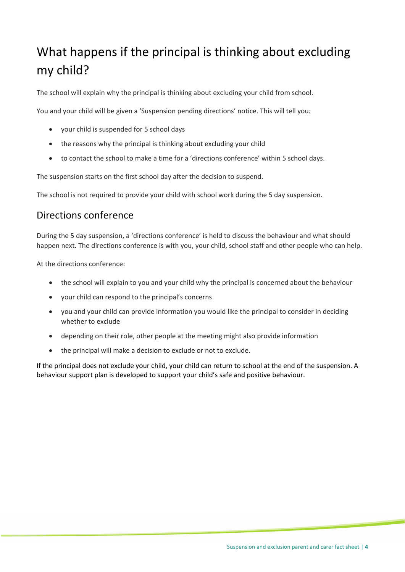# What happens if the principal is thinking about excluding my child?

The school will explain why the principal is thinking about excluding your child from school.

You and your child will be given a 'Suspension pending directions' notice. This will tell you*:* 

- your child is suspended for 5 school days
- the reasons why the principal is thinking about excluding your child
- to contact the school to make a time for a 'directions conference' within 5 school days.

The suspension starts on the first school day after the decision to suspend.

The school is not required to provide your child with school work during the 5 day suspension.

#### Directions conference

During the 5 day suspension, a 'directions conference' is held to discuss the behaviour and what should happen next. The directions conference is with you, your child, school staff and other people who can help.

At the directions conference:

- the school will explain to you and your child why the principal is concerned about the behaviour
- your child can respond to the principal's concerns
- you and your child can provide information you would like the principal to consider in deciding whether to exclude
- depending on their role, other people at the meeting might also provide information
- the principal will make a decision to exclude or not to exclude.

If the principal does not exclude your child, your child can return to school at the end of the suspension. A behaviour support plan is developed to support your child's safe and positive behaviour.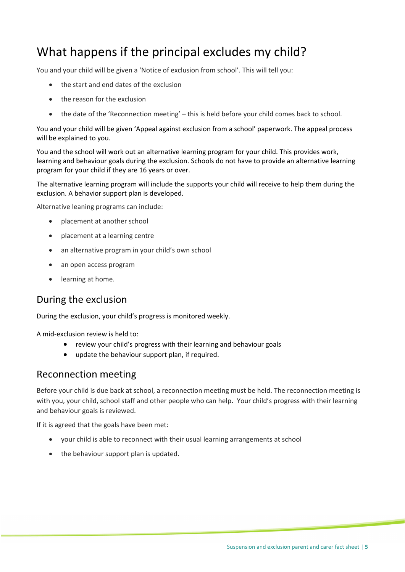### What happens if the principal excludes my child?

You and your child will be given a 'Notice of exclusion from school'*.* This will tell you:

- the start and end dates of the exclusion
- the reason for the exclusion
- the date of the 'Reconnection meeting' this is held before your child comes back to school.

You and your child will be given 'Appeal against exclusion from a school' paperwork. The appeal process will be explained to you.

You and the school will work out an alternative learning program for your child. This provides work, learning and behaviour goals during the exclusion. Schools do not have to provide an alternative learning program for your child if they are 16 years or over.

The alternative learning program will include the supports your child will receive to help them during the exclusion. A behavior support plan is developed.

Alternative leaning programs can include:

- placement at another school
- placement at a learning centre
- an alternative program in your child's own school
- an open access program
- learning at home.

#### During the exclusion

During the exclusion, your child's progress is monitored weekly.

A mid-exclusion review is held to:

- review your child's progress with their learning and behaviour goals
- update the behaviour support plan, if required.

#### Reconnection meeting

Before your child is due back at school, a reconnection meeting must be held. The reconnection meeting is with you, your child, school staff and other people who can help. Your child's progress with their learning and behaviour goals is reviewed.

If it is agreed that the goals have been met:

- your child is able to reconnect with their usual learning arrangements at school
- the behaviour support plan is updated.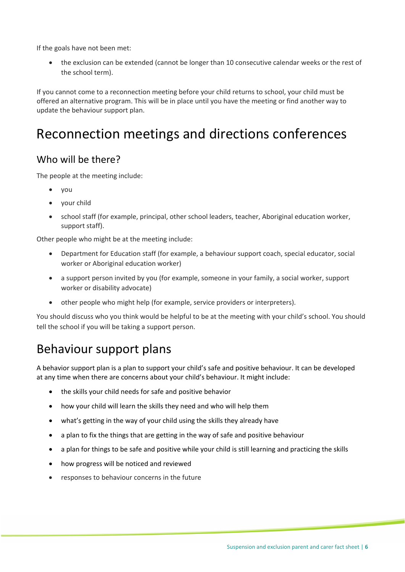If the goals have not been met:

the exclusion can be extended (cannot be longer than 10 consecutive calendar weeks or the rest of the school term).

If you cannot come to a reconnection meeting before your child returns to school, your child must be offered an alternative program. This will be in place until you have the meeting or find another way to update the behaviour support plan.

## Reconnection meetings and directions conferences

#### Who will be there?

The people at the meeting include:

- you
- your child
- school staff (for example, principal, other school leaders, teacher, Aboriginal education worker, support staff).

Other people who might be at the meeting include:

- Department for Education staff (for example, a behaviour support coach, special educator, social worker or Aboriginal education worker)
- a support person invited by you (for example, someone in your family, a social worker, support worker or disability advocate)
- other people who might help (for example, service providers or interpreters).

You should discuss who you think would be helpful to be at the meeting with your child's school. You should tell the school if you will be taking a support person.

### Behaviour support plans

A behavior support plan is a plan to support your child's safe and positive behaviour. It can be developed at any time when there are concerns about your child's behaviour. It might include:

- the skills your child needs for safe and positive behavior
- how your child will learn the skills they need and who will help them
- what's getting in the way of your child using the skills they already have
- a plan to fix the things that are getting in the way of safe and positive behaviour
- a plan for things to be safe and positive while your child is still learning and practicing the skills
- how progress will be noticed and reviewed
- responses to behaviour concerns in the future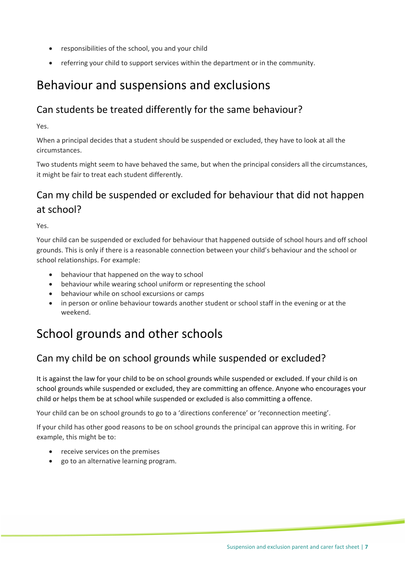- responsibilities of the school, you and your child
- referring your child to support services within the department or in the community.

### Behaviour and suspensions and exclusions

#### Can students be treated differently for the same behaviour?

Yes.

When a principal decides that a student should be suspended or excluded, they have to look at all the circumstances.

Two students might seem to have behaved the same, but when the principal considers all the circumstances, it might be fair to treat each student differently.

#### Can my child be suspended or excluded for behaviour that did not happen at school?

Yes.

Your child can be suspended or excluded for behaviour that happened outside of school hours and off school grounds. This is only if there is a reasonable connection between your child's behaviour and the school or school relationships. For example:

- behaviour that happened on the way to school
- behaviour while wearing school uniform or representing the school
- behaviour while on school excursions or camps
- in person or online behaviour towards another student or school staff in the evening or at the weekend.

### School grounds and other schools

#### Can my child be on school grounds while suspended or excluded?

It is against the law for your child to be on school grounds while suspended or excluded. If your child is on school grounds while suspended or excluded, they are committing an offence. Anyone who encourages your child or helps them be at school while suspended or excluded is also committing a offence.

Your child can be on school grounds to go to a 'directions conference' or 'reconnection meeting'.

If your child has other good reasons to be on school grounds the principal can approve this in writing. For example, this might be to:

- receive services on the premises
- go to an alternative learning program.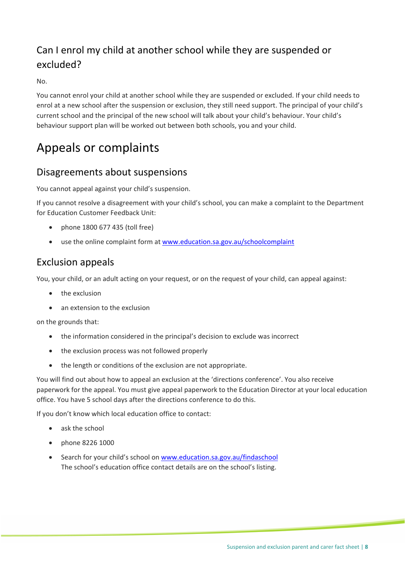#### Can I enrol my child at another school while they are suspended or excluded?

 $N<sub>0</sub>$ 

You cannot enrol your child at another school while they are suspended or excluded. If your child needs to enrol at a new school after the suspension or exclusion, they still need support. The principal of your child's current school and the principal of the new school will talk about your child's behaviour. Your child's behaviour support plan will be worked out between both schools, you and your child.

### Appeals or complaints

#### Disagreements about suspensions

You cannot appeal against your child's suspension.

If you cannot resolve a disagreement with your child's school, you can make a complaint to the Department for Education Customer Feedback Unit:

- phone 1800 677 435 (toll free)
- use the online complaint form at [www.education.sa.gov.au/schoolcomplaint](http://www.education.sa.gov.au/schoolcomplaint)

#### Exclusion appeals

You, your child, or an adult acting on your request, or on the request of your child, can appeal against:

- the exclusion
- an extension to the exclusion

on the grounds that:

- the information considered in the principal's decision to exclude was incorrect
- the exclusion process was not followed properly
- the length or conditions of the exclusion are not appropriate.

You will find out about how to appeal an exclusion at the 'directions conference'. You also receive paperwork for the appeal. You must give appeal paperwork to the Education Director at your local education office. You have 5 school days after the directions conference to do this.

If you don't know which local education office to contact:

- ask the school
- phone 8226 1000
- Search for your child's school on [www.education.sa.gov.au/findaschool](https://www.education.sa.gov.au/findaschool) The school's education office contact details are on the school's listing.